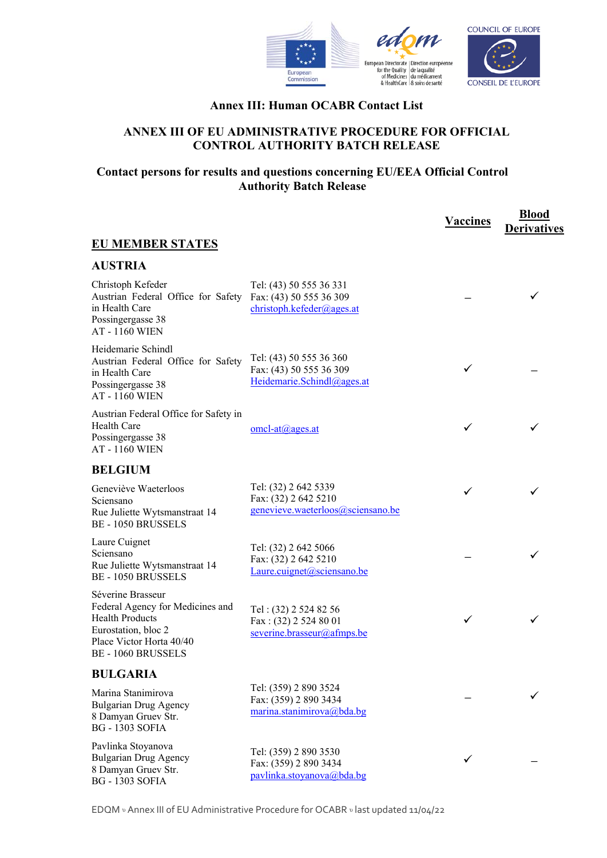



## **Annex III: Human OCABR Contact List**

## **ANNEX III OF EU ADMINISTRATIVE PROCEDURE FOR OFFICIAL CONTROL AUTHORITY BATCH RELEASE**

## **Contact persons for results and questions concerning EU/EEA Official Control Authority Batch Release**

|                                                                                                                                                               |                                                                                   | <b>Vaccines</b> | <b>Blood</b><br><b>Derivatives</b> |
|---------------------------------------------------------------------------------------------------------------------------------------------------------------|-----------------------------------------------------------------------------------|-----------------|------------------------------------|
| <b>EU MEMBER STATES</b>                                                                                                                                       |                                                                                   |                 |                                    |
| <b>AUSTRIA</b>                                                                                                                                                |                                                                                   |                 |                                    |
| Christoph Kefeder<br>Austrian Federal Office for Safety<br>in Health Care<br>Possingergasse 38<br><b>AT-1160 WIEN</b>                                         | Tel: (43) 50 555 36 331<br>Fax: (43) 50 555 36 309<br>christoph.kefeder@ages.at   |                 |                                    |
| Heidemarie Schindl<br>Austrian Federal Office for Safety<br>in Health Care<br>Possingergasse 38<br><b>AT-1160 WIEN</b>                                        | Tel: (43) 50 555 36 360<br>Fax: (43) 50 555 36 309<br>Heidemarie.Schindl@ages.at  |                 |                                    |
| Austrian Federal Office for Safety in<br>Health Care<br>Possingergasse 38<br><b>AT - 1160 WIEN</b>                                                            | omcl-at@ages.at                                                                   | ✓               |                                    |
| <b>BELGIUM</b>                                                                                                                                                |                                                                                   |                 |                                    |
| Geneviève Waeterloos<br>Sciensano<br>Rue Juliette Wytsmanstraat 14<br><b>BE-1050 BRUSSELS</b>                                                                 | Tel: (32) 2 642 5339<br>Fax: (32) 2 642 5210<br>genevieve.waeterloos@sciensano.be | ✓               |                                    |
| Laure Cuignet<br>Sciensano<br>Rue Juliette Wytsmanstraat 14<br><b>BE-1050 BRUSSELS</b>                                                                        | Tel: (32) 2 642 5066<br>Fax: (32) 2 642 5210<br>Laure.cuignet@sciensano.be        |                 |                                    |
| Séverine Brasseur<br>Federal Agency for Medicines and<br><b>Health Products</b><br>Eurostation, bloc 2<br>Place Victor Horta 40/40<br><b>BE-1060 BRUSSELS</b> | Tel: (32) 2 524 82 56<br>Fax: (32) 2 524 80 01<br>severine.brasseur@afmps.be      |                 |                                    |
| <b>BULGARIA</b>                                                                                                                                               |                                                                                   |                 |                                    |
| Marina Stanimirova<br><b>Bulgarian Drug Agency</b><br>8 Damyan Gruev Str.<br><b>BG</b> - 1303 SOFIA                                                           | Tel: (359) 2 890 3524<br>Fax: (359) 2 890 3434<br>marina.stanimirova@bda.bg       |                 |                                    |
| Pavlinka Stoyanova<br><b>Bulgarian Drug Agency</b><br>8 Damyan Gruev Str.<br><b>BG - 1303 SOFIA</b>                                                           | Tel: (359) 2 890 3530<br>Fax: (359) 2 890 3434<br>pavlinka.stoyanova@bda.bg       | ✓               |                                    |

EDQM υ Annex III of EU Administrative Procedure for OCABR υ last updated 11/04/22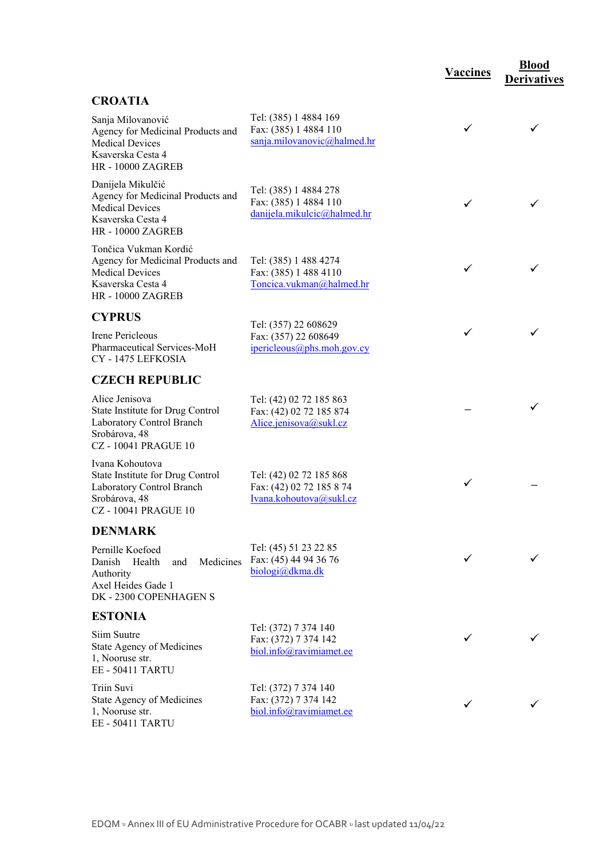## **CROATIA**

| Sanja Milovanović<br>Agency for Medicinal Products and<br><b>Medical Devices</b><br>Ksaverska Cesta 4<br>HR - 10000 ZAGREB     | Tel: (385) 1 4884 169<br>Fax: (385) 1 4884 110<br>sanja.milovanovic@halmed.hr  | ✓ |   |
|--------------------------------------------------------------------------------------------------------------------------------|--------------------------------------------------------------------------------|---|---|
| Danijela Mikulčić<br>Agency for Medicinal Products and<br><b>Medical Devices</b><br>Ksaverska Cesta 4<br>HR - 10000 ZAGREB     | Tel: (385) 1 4884 278<br>Fax: (385) 1 4884 110<br>danijela.mikulcic@halmed.hr  |   |   |
| Tončica Vukman Kordić<br>Agency for Medicinal Products and<br><b>Medical Devices</b><br>Ksaverska Cesta 4<br>HR - 10000 ZAGREB | Tel: (385) 1 488 4274<br>Fax: (385) 1 488 4110<br>Toncica.vukman@halmed.hr     | ✓ |   |
| <b>CYPRUS</b>                                                                                                                  |                                                                                |   |   |
| Irene Pericleous<br>Pharmaceutical Services-MoH<br>CY - 1475 LEFKOSIA                                                          | Tel: (357) 22 608629<br>Fax: (357) 22 608649<br>ipericleous@phs.moh.gov.cy     | ✓ |   |
| <b>CZECH REPUBLIC</b>                                                                                                          |                                                                                |   |   |
| Alice Jenisova<br>State Institute for Drug Control<br>Laboratory Control Branch<br>Srobárova, 48<br><b>CZ-10041 PRAGUE 10</b>  | Tel: (42) 02 72 185 863<br>Fax: (42) 02 72 185 874<br>Alice.jenisova@sukl.cz   |   |   |
| Ivana Kohoutova<br>State Institute for Drug Control<br>Laboratory Control Branch<br>Srobárova, 48<br><b>CZ-10041 PRAGUE 10</b> | Tel: (42) 02 72 185 868<br>Fax: (42) 02 72 185 8 74<br>Ivana.kohoutova@sukl.cz | ✓ |   |
| <b>DENMARK</b>                                                                                                                 |                                                                                |   |   |
| Pernille Koefoed<br>and Medicines<br>Danish Health<br>Authority<br>Axel Heides Gade 1<br>DK - 2300 COPENHAGEN S                | Tel: (45) 51 23 22 85<br>Fax: (45) 44 94 36 76<br>biologi@dkma.dk              |   | ✓ |
| <b>ESTONIA</b>                                                                                                                 |                                                                                |   |   |
| Siim Suutre<br>State Agency of Medicines<br>1, Nooruse str.<br><b>EE - 50411 TARTU</b>                                         | Tel: (372) 7 374 140<br>Fax: (372) 7 374 142<br>biol.info@ravimiamet.ee        |   |   |
| Triin Suvi<br>State Agency of Medicines<br>1, Nooruse str.<br><b>EE - 50411 TARTU</b>                                          | Tel: (372) 7 374 140<br>Fax: (372) 7 374 142<br>biol.info@ravimiamet.ee        | ✓ |   |

**Vaccines Blood** 

**Derivatives**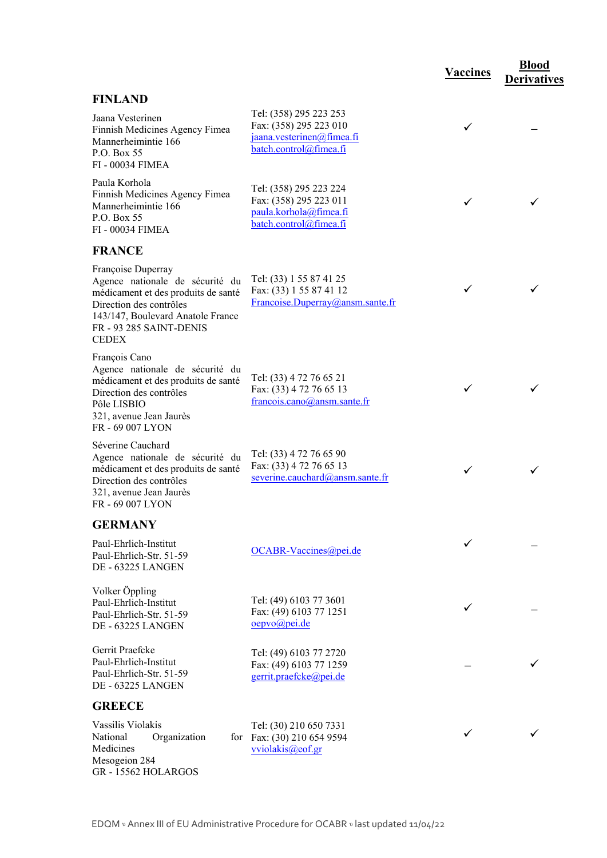# **FINLAND**

| L'UNLAIND                                                                                                                                                                                               |                                                                                                         |   |   |
|---------------------------------------------------------------------------------------------------------------------------------------------------------------------------------------------------------|---------------------------------------------------------------------------------------------------------|---|---|
| Jaana Vesterinen<br>Finnish Medicines Agency Fimea<br>Mannerheimintie 166<br>P.O. Box 55<br><b>FI-00034 FIMEA</b>                                                                                       | Tel: (358) 295 223 253<br>Fax: (358) 295 223 010<br>jaana.vesterinen@fimea.fi<br>batch.control@fimea.fi | ✓ |   |
| Paula Korhola<br>Finnish Medicines Agency Fimea<br>Mannerheimintie 166<br>P.O. Box 55<br>FI - 00034 FIMEA                                                                                               | Tel: (358) 295 223 224<br>Fax: (358) 295 223 011<br>paula.korhola@fimea.fi<br>batch.control@fimea.fi    | ✓ | ✓ |
| <b>FRANCE</b>                                                                                                                                                                                           |                                                                                                         |   |   |
| Françoise Duperray<br>Agence nationale de sécurité du<br>médicament et des produits de santé<br>Direction des contrôles<br>143/147, Boulevard Anatole France<br>FR - 93 285 SAINT-DENIS<br><b>CEDEX</b> | Tel: (33) 1 55 87 41 25<br>Fax: (33) 1 55 87 41 12<br>Francoise.Duperray@ansm.sante.fr                  | ✓ |   |
| François Cano<br>Agence nationale de sécurité du<br>médicament et des produits de santé<br>Direction des contrôles<br>Pôle LISBIO<br>321, avenue Jean Jaurès<br>FR-69 007 LYON                          | Tel: (33) 4 72 76 65 21<br>Fax: (33) 4 72 76 65 13<br>francois.cano@ansm.sante.fr                       | ✓ |   |
| Séverine Cauchard<br>Agence nationale de sécurité du<br>médicament et des produits de santé<br>Direction des contrôles<br>321, avenue Jean Jaurès<br>FR - 69 007 LYON                                   | Tel: (33) 4 72 76 65 90<br>Fax: (33) 4 72 76 65 13<br>severine.cauchard@ansm.sante.fr                   | ✓ | ✓ |
| <b>GERMANY</b>                                                                                                                                                                                          |                                                                                                         |   |   |
| Paul-Ehrlich-Institut<br>Paul-Ehrlich-Str. 51-59<br><b>DE - 63225 LANGEN</b>                                                                                                                            | OCABR-Vaccines@pei.de                                                                                   | ✓ |   |
| Volker Öppling<br>Paul-Ehrlich-Institut<br>Paul-Ehrlich-Str. 51-59<br>DE - 63225 LANGEN                                                                                                                 | Tel: (49) 6103 77 3601<br>Fax: (49) 6103 77 1251<br>oepvo@pei.de                                        | ✓ |   |
| Gerrit Praefcke<br>Paul-Ehrlich-Institut<br>Paul-Ehrlich-Str. 51-59<br>DE - 63225 LANGEN                                                                                                                | Tel: (49) 6103 77 2720<br>Fax: (49) 6103 77 1259<br>gerrit.praefcke@pei.de                              |   |   |
| <b>GREECE</b>                                                                                                                                                                                           |                                                                                                         |   |   |
| Vassilis Violakis<br>National<br>Organization<br>for<br>Medicines<br>Mesogeion 284<br>GR-15562 HOLARGOS                                                                                                 | Tel: (30) 210 650 7331<br>Fax: (30) 210 654 9594<br>vviolakis@eof.gr                                    | ✓ | ✓ |

**Vaccines Blood** 

**Derivatives**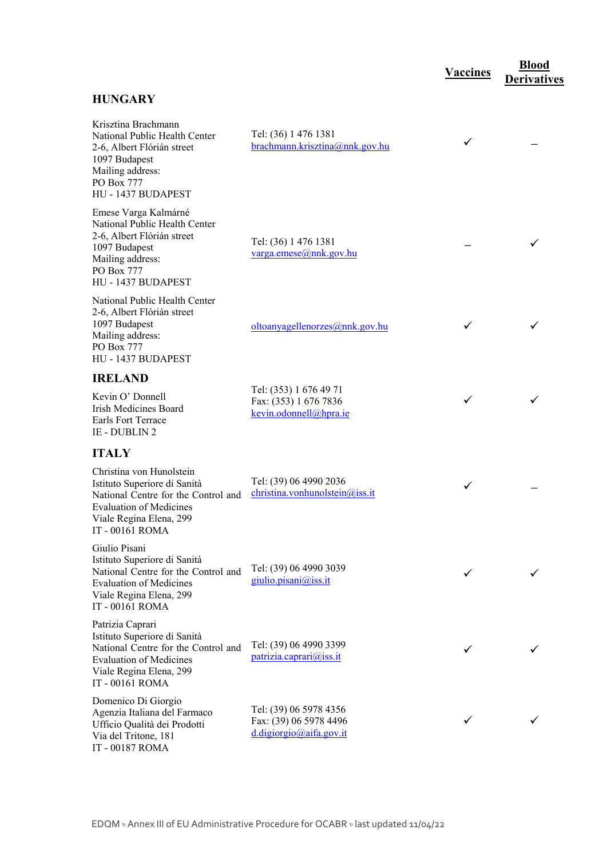## **HUNGARY**

| Krisztina Brachmann<br>National Public Health Center<br>2-6, Albert Flórián street<br>1097 Budapest<br>Mailing address:<br>PO Box 777<br>HU - 1437 BUDAPEST                                        | Tel: (36) 1 476 1381<br>brachmann.krisztina@nnk.gov.hu                      | ✓            |  |
|----------------------------------------------------------------------------------------------------------------------------------------------------------------------------------------------------|-----------------------------------------------------------------------------|--------------|--|
| Emese Varga Kalmárné<br>National Public Health Center<br>2-6, Albert Flórián street<br>1097 Budapest<br>Mailing address:<br>PO Box 777<br>HU - 1437 BUDAPEST                                       | Tel: (36) 1 476 1381<br>$varga.$ emese@nnk.gov.hu                           |              |  |
| National Public Health Center<br>2-6, Albert Flórián street<br>1097 Budapest<br>Mailing address:<br>PO Box 777<br>HU - 1437 BUDAPEST                                                               | oltoanyagellenorzes@nnk.gov.hu                                              | $\checkmark$ |  |
| <b>IRELAND</b>                                                                                                                                                                                     |                                                                             |              |  |
| Kevin O' Donnell<br>Irish Medicines Board<br>Earls Fort Terrace<br>IE - DUBLIN 2                                                                                                                   | Tel: (353) 1 676 49 71<br>Fax: (353) 1 676 7836<br>kevin.odonnell@hpra.ie   | $\checkmark$ |  |
| <b>ITALY</b>                                                                                                                                                                                       |                                                                             |              |  |
| Christina von Hunolstein<br>Istituto Superiore di Sanità<br>National Centre for the Control and<br><b>Evaluation of Medicines</b><br>Viale Regina Elena, 299<br>IT - 00161 ROMA                    | Tel: (39) 06 4990 2036<br>christina.vonhunolstein@iss.it                    | $\checkmark$ |  |
| Giulio Pisani<br>Istituto Superiore di Sanità<br>National Centre for the Control and Tel: (39) 06 4990 3039<br><b>Evaluation of Medicines</b><br>Viale Regina Elena, 299<br><b>IT - 00161 ROMA</b> | giulio.pisani@iss.it                                                        |              |  |
| Patrizia Caprari<br>Istituto Superiore di Sanità<br>National Centre for the Control and<br><b>Evaluation of Medicines</b><br>Viale Regina Elena, 299<br>IT - 00161 ROMA                            | Tel: (39) 06 4990 3399<br>patrizia.caprari@iss.it                           |              |  |
| Domenico Di Giorgio<br>Agenzia Italiana del Farmaco<br>Ufficio Qualità dei Prodotti<br>Via del Tritone, 181<br>IT - 00187 ROMA                                                                     | Tel: (39) 06 5978 4356<br>Fax: (39) 06 5978 4496<br>d.digiorgio@aifa.gov.it | ✓            |  |

**Vaccines Blood** 

**Derivatives**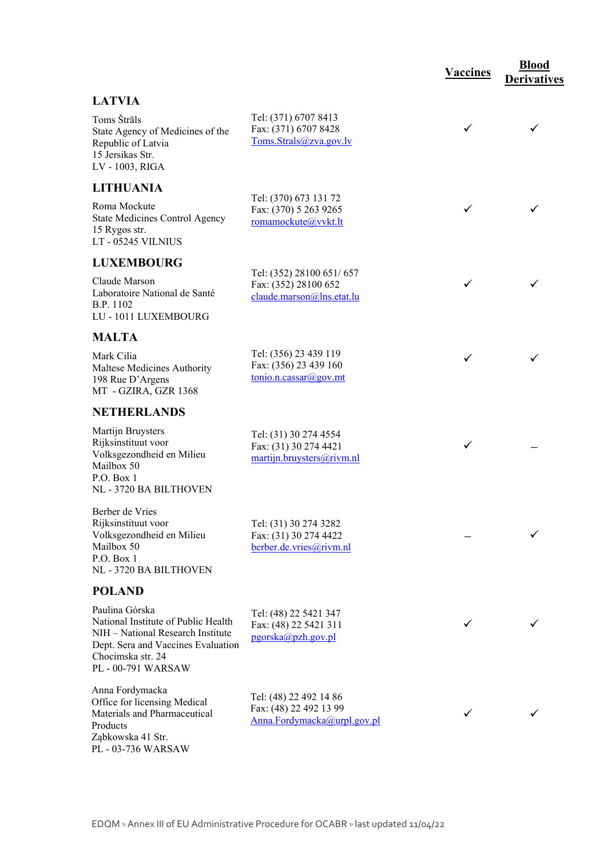|                                                                                                                                                                             |                                                                                           | <b>Vaccines</b> | <b>Blood</b><br><b>Derivatives</b> |
|-----------------------------------------------------------------------------------------------------------------------------------------------------------------------------|-------------------------------------------------------------------------------------------|-----------------|------------------------------------|
| <b>LATVIA</b>                                                                                                                                                               |                                                                                           |                 |                                    |
| Toms Štrāls<br>State Agency of Medicines of the<br>Republic of Latvia<br>15 Jersikas Str.<br>LV - 1003, RIGA                                                                | Tel: (371) 6707 8413<br>Fax: (371) 6707 8428<br>Toms.Strals@zva.gov.lv                    | ✓               | ✓                                  |
| <b>LITHUANIA</b>                                                                                                                                                            |                                                                                           |                 |                                    |
| Roma Mockute<br><b>State Medicines Control Agency</b><br>15 Rygos str.<br>LT - 05245 VILNIUS                                                                                | Tel: (370) 673 131 72<br>Fax: (370) 5 263 9265<br>romamockute@vvkt.lt                     | ✓               |                                    |
| <b>LUXEMBOURG</b>                                                                                                                                                           |                                                                                           |                 |                                    |
| Claude Marson<br>Laboratoire National de Santé<br>B.P. 1102<br>LU - 1011 LUXEMBOURG                                                                                         | Tel: (352) 28100 651/657<br>Fax: (352) 28100 652<br>claude.marson@lns.etat.lu             | ✓               | ✓                                  |
| <b>MALTA</b>                                                                                                                                                                |                                                                                           |                 |                                    |
| Mark Cilia<br>Maltese Medicines Authority<br>198 Rue D'Argens<br>MT - GZIRA, GZR 1368                                                                                       | Tel: (356) 23 439 119<br>Fax: (356) 23 439 160<br>$\frac{\text{tonio.n.cassar}(a)$ gov.mt | ✓               |                                    |
| <b>NETHERLANDS</b>                                                                                                                                                          |                                                                                           |                 |                                    |
| Martijn Bruysters<br>Rijksinstituut voor<br>Volksgezondheid en Milieu<br>Mailbox 50<br>P.O. Box 1<br>NL - 3720 BA BILTHOVEN                                                 | Tel: (31) 30 274 4554<br>Fax: (31) 30 274 4421<br>martijn.bruysters@rivm.nl               | ✓               |                                    |
| Berber de Vries<br>Rijksinstituut voor<br>Volksgezondheid en Milieu<br>Mailbox 50<br>P.O. Box 1<br>NL - 3720 BA BILTHOVEN                                                   | Tel: (31) 30 274 3282<br>Fax: (31) 30 274 4422<br>berber.de.vries@rivm.nl                 |                 |                                    |
| <b>POLAND</b>                                                                                                                                                               |                                                                                           |                 |                                    |
| Paulina Górska<br>National Institute of Public Health<br>NIH - National Research Institute<br>Dept. Sera and Vaccines Evaluation<br>Chocimska str. 24<br>PL - 00-791 WARSAW | Tel: (48) 22 5421 347<br>Fax: (48) 22 5421 311<br>pgorska@pzh.gov.pl                      |                 |                                    |
| Anna Fordymacka<br>Office for licensing Medical<br>Materials and Pharmaceutical<br>Products<br>Ząbkowska 41 Str.<br>PL - 03-736 WARSAW                                      | Tel: (48) 22 492 14 86<br>Fax: (48) 22 492 13 99<br>Anna.Fordymacka@urpl.gov.pl           |                 |                                    |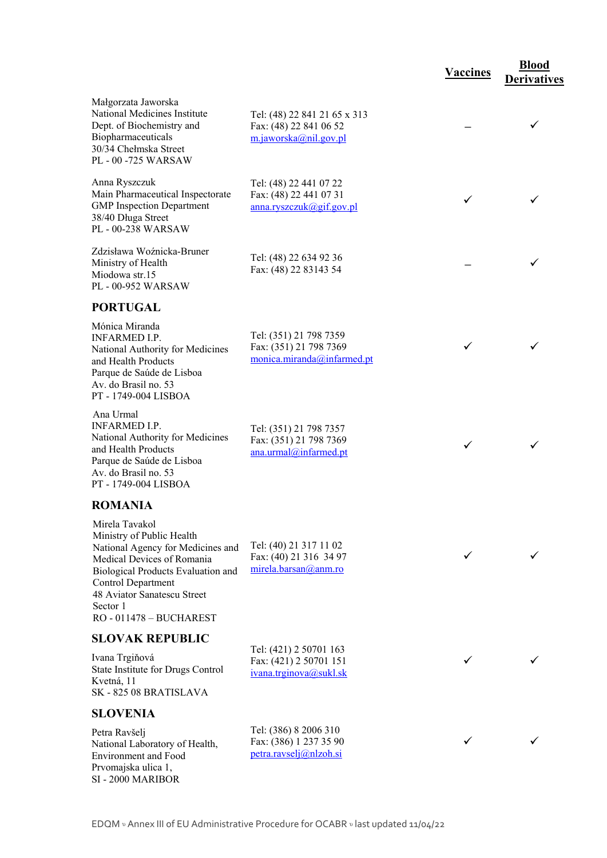|                                                                                                                                                                                                                       |                                                                                 | <b>Vaccines</b> | <b>Blood</b><br><b>Derivatives</b> |
|-----------------------------------------------------------------------------------------------------------------------------------------------------------------------------------------------------------------------|---------------------------------------------------------------------------------|-----------------|------------------------------------|
| Małgorzata Jaworska<br>National Medicines Institute<br>Dept. of Biochemistry and<br>Biopharmaceuticals<br>30/34 Chełmska Street<br>PL - 00 -725 WARSAW                                                                | Tel: (48) 22 841 21 65 x 313<br>Fax: (48) 22 841 06 52<br>m.jaworska@nil.gov.pl |                 | ✓                                  |
| Anna Ryszczuk<br>Main Pharmaceutical Inspectorate<br><b>GMP</b> Inspection Department<br>38/40 Długa Street<br>PL - 00-238 WARSAW                                                                                     | Tel: (48) 22 441 07 22<br>Fax: (48) 22 441 07 31<br>anna.ryszczuk@gif.gov.pl    | ✓               |                                    |
| Zdzisława Woźnicka-Bruner<br>Ministry of Health<br>Miodowa str.15<br>PL - 00-952 WARSAW                                                                                                                               | Tel: (48) 22 634 92 36<br>Fax: (48) 22 83143 54                                 |                 |                                    |
| <b>PORTUGAL</b>                                                                                                                                                                                                       |                                                                                 |                 |                                    |
| Mónica Miranda<br><b>INFARMED I.P.</b><br>National Authority for Medicines<br>and Health Products<br>Parque de Saúde de Lisboa<br>Av. do Brasil no. 53<br>PT - 1749-004 LISBOA                                        | Tel: (351) 21 798 7359<br>Fax: (351) 21 798 7369<br>monica.miranda@infarmed.pt  | ✓               |                                    |
| Ana Urmal<br><b>INFARMED I.P.</b><br>National Authority for Medicines<br>and Health Products<br>Parque de Saúde de Lisboa<br>Av. do Brasil no. 53<br>PT - 1749-004 LISBOA                                             | Tel: (351) 21 798 7357<br>Fax: (351) 21 798 7369<br>ana.urmal@infarmed.pt       | ✓               | ✓                                  |
| <b>ROMANIA</b>                                                                                                                                                                                                        |                                                                                 |                 |                                    |
| Mirela Tavakol<br>Ministry of Public Health<br>National Agency for Medicines and<br>Medical Devices of Romania<br>Biological Products Evaluation and<br>Control Department<br>48 Aviator Sanatescu Street<br>Sector 1 | Tel: (40) 21 317 11 02<br>Fax: (40) 21 316 34 97<br>mirela.barsan@anm.ro        |                 |                                    |
| RO - 011478 - BUCHAREST                                                                                                                                                                                               |                                                                                 |                 |                                    |
| <b>SLOVAK REPUBLIC</b>                                                                                                                                                                                                | Tel: (421) 2 50701 163                                                          |                 |                                    |
| Ivana Trgiňová<br>State Institute for Drugs Control<br>Kvetná, 11<br>SK-82508 BRATISLAVA                                                                                                                              | Fax: (421) 2 50701 151<br>ivana.trginova@sukl.sk                                |                 |                                    |
| <b>SLOVENIA</b>                                                                                                                                                                                                       |                                                                                 |                 |                                    |
| Petra Ravšelj<br>National Laboratory of Health,<br>Environment and Food<br>Prvomajska ulica 1,<br>SI - 2000 MARIBOR                                                                                                   | Tel: (386) 8 2006 310<br>Fax: (386) 1 237 35 90<br>petra.ravselj@nlzoh.si       |                 |                                    |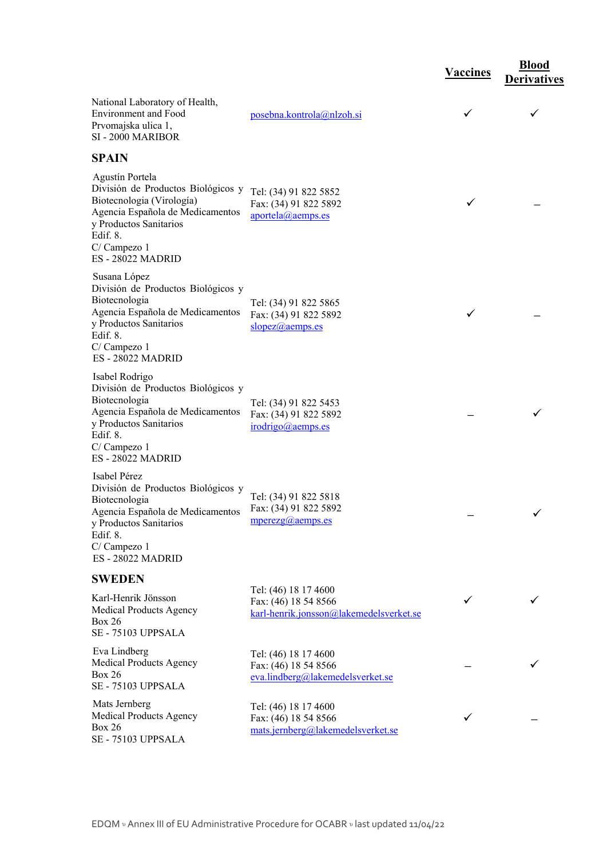|                                                                                                                                                                                                |                                                                                         | <b>Vaccines</b> | <b>Blood</b><br><b>Derivatives</b> |
|------------------------------------------------------------------------------------------------------------------------------------------------------------------------------------------------|-----------------------------------------------------------------------------------------|-----------------|------------------------------------|
| National Laboratory of Health,<br><b>Environment</b> and Food<br>Prvomajska ulica 1,<br>SI - 2000 MARIBOR                                                                                      | posebna.kontrola@nlzoh.si                                                               | ✓               | $\checkmark$                       |
| <b>SPAIN</b>                                                                                                                                                                                   |                                                                                         |                 |                                    |
| Agustín Portela<br>División de Productos Biológicos y<br>Biotecnologia (Virología)<br>Agencia Española de Medicamentos<br>y Productos Sanitarios<br>Edif. 8.<br>C/Campezo 1<br>ES-28022 MADRID | Tel: (34) 91 822 5852<br>Fax: (34) 91 822 5892<br>aportela@aemps.es                     | ✓               |                                    |
| Susana López<br>División de Productos Biológicos y<br>Biotecnologia<br>Agencia Española de Medicamentos<br>y Productos Sanitarios<br>Edif. 8.<br>C/Campezo 1<br>ES-28022 MADRID                | Tel: (34) 91 822 5865<br>Fax: (34) 91 822 5892<br>slopez@aemps.es                       | ✓               |                                    |
| Isabel Rodrigo<br>División de Productos Biológicos y<br>Biotecnologia<br>Agencia Española de Medicamentos<br>y Productos Sanitarios<br>Edif. 8.<br>C/Campezo 1<br><b>ES-28022 MADRID</b>       | Tel: (34) 91 822 5453<br>Fax: (34) 91 822 5892<br>irodrigo@aemps.es                     |                 |                                    |
| Isabel Pérez<br>División de Productos Biológicos y<br>Biotecnologia<br>Agencia Española de Medicamentos<br>y Productos Sanitarios<br>Edif. 8.<br>C/Campezo 1<br><b>ES-28022 MADRID</b>         | Tel: (34) 91 822 5818<br>Fax: (34) 91 822 5892<br>$mperezg(a)$ <sub>aemps.es</sub>      |                 |                                    |
| <b>SWEDEN</b>                                                                                                                                                                                  |                                                                                         |                 |                                    |
| Karl-Henrik Jönsson<br><b>Medical Products Agency</b><br><b>Box 26</b><br>SE - 75103 UPPSALA                                                                                                   | Tel: (46) 18 17 4600<br>Fax: (46) 18 54 8566<br>karl-henrik.jonsson@lakemedelsverket.se | ✓               |                                    |
| Eva Lindberg<br>Medical Products Agency<br><b>Box 26</b><br>SE - 75103 UPPSALA                                                                                                                 | Tel: (46) 18 17 4600<br>Fax: (46) 18 54 8566<br>eva.lindberg@lakemedelsverket.se        |                 |                                    |
| Mats Jernberg<br>Medical Products Agency<br><b>Box 26</b><br>SE - 75103 UPPSALA                                                                                                                | Tel: (46) 18 17 4600<br>Fax: (46) 18 54 8566<br>mats.jernberg@lakemedelsverket.se       | ✓               |                                    |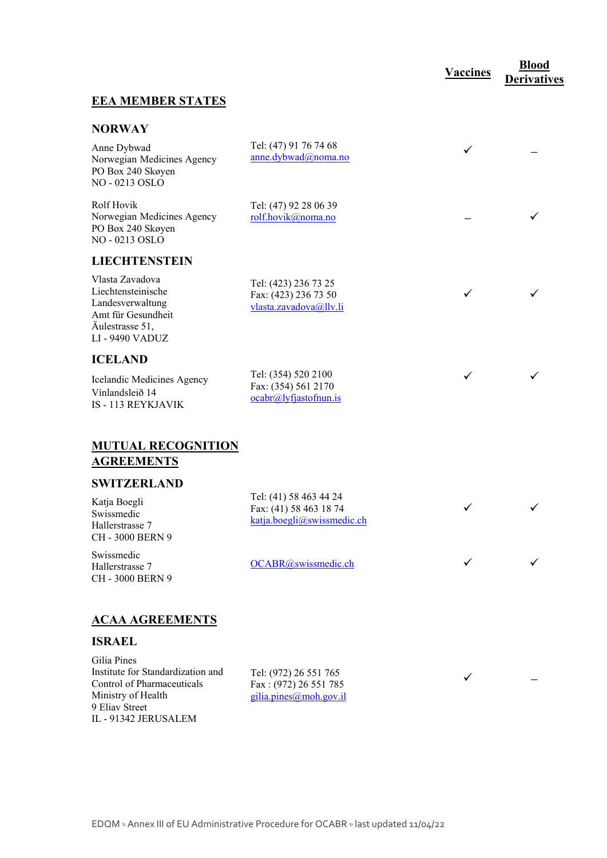# **Vaccines <u><b>Blood**</u>

 $\checkmark$ 

**←** 

**Derivatives** 

#### **EEA MEMBER STATES**

#### **NORWAY**

| Anne Dybwad<br>Norwegian Medicines Agency<br>PO Box 240 Skøyen<br>NO - 0213 OSLO                                           | Tel: (47) 91 76 74 68<br>anne.dybwad@noma.no                             | ✓ |  |
|----------------------------------------------------------------------------------------------------------------------------|--------------------------------------------------------------------------|---|--|
| <b>Rolf Hovik</b><br>Norwegian Medicines Agency<br>PO Box 240 Skøyen<br>NO-0213 OSLO                                       | Tel: (47) 92 28 06 39<br>rolf.hovik@noma.no                              |   |  |
| <b>LIECHTENSTEIN</b>                                                                                                       |                                                                          |   |  |
| Vlasta Zavadova<br>Liechtensteinische<br>Landesverwaltung<br>Amt für Gesundheit<br>Äulestrasse 51,<br><b>LI-9490 VADUZ</b> | Tel: (423) 236 73 25<br>Fax: (423) 236 73 50<br>vlasta.zavadova@llv.li   | ✓ |  |
| <b>ICELAND</b>                                                                                                             |                                                                          |   |  |
| Icelandic Medicines Agency<br>Vínlandsleið 14<br><b>IS - 113 REYKJAVIK</b>                                                 | Tel: (354) 520 2100<br>Fax: (354) 561 2170<br>$ocabr@] y f$ jastofnun.is | ✓ |  |
| <b>MUTUAL RECOGNITION</b><br><b>AGREEMENTS</b>                                                                             |                                                                          |   |  |
| <b>SWITZERLAND</b>                                                                                                         |                                                                          |   |  |
| $V$ stis Rosali                                                                                                            | Tel: (41) 58 463 44 24                                                   |   |  |

Katja Boegli Swissmedic Hallerstrasse 7 CH - 3000 BERN 9

Swissmedic Hallerstrasse 7 CH - 3000 BERN 9

Fax: (41) 58 463 18 74 katja.boegli@swissmedic.ch

 $OCABR$  (*a*) swissmedic.ch

## **ACAA AGREEMENTS**

#### **ISRAEL**

Gilia Pines Institute for Standardization and Control of Pharmaceuticals Ministry of Health 9 Eliav Street IL - 91342 JERUSALEM

Tel: (972) 26 551 765 Fax : (972) 26 551 785 gilia.pines@moh.gov.il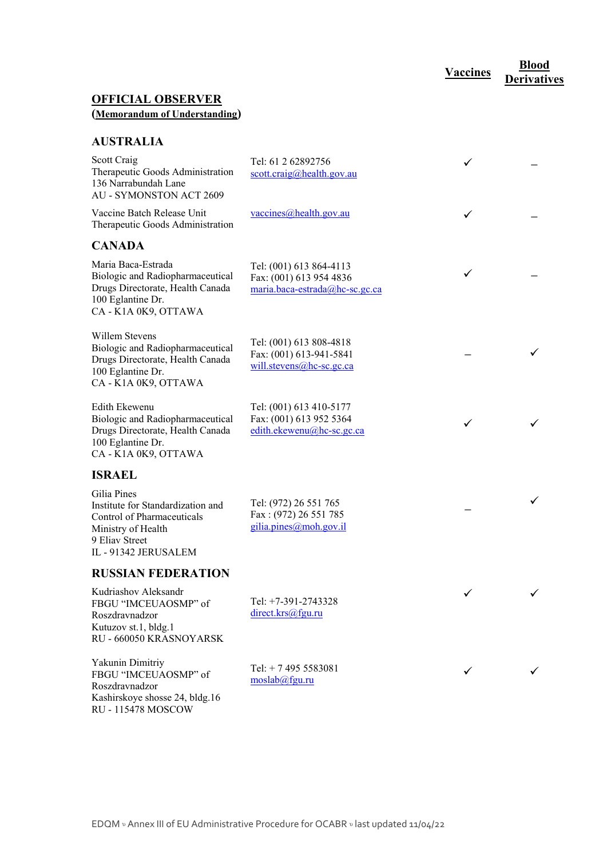**Vaccines Blood** 

**Derivatives** 

## **OFFICIAL OBSERVER (Memorandum of Understanding)**

#### **AUSTRALIA**

| Scott Craig<br>Therapeutic Goods Administration<br>136 Narrabundah Lane<br><b>AU - SYMONSTON ACT 2609</b>                                      | Tel: 61 2 62892756<br>$\frac{\text{scott.} \text{craig}(\hat{\omega})\text{health.} \text{gov.} \text{au}}{(\hat{\omega})^2}$ | ✓ |  |
|------------------------------------------------------------------------------------------------------------------------------------------------|-------------------------------------------------------------------------------------------------------------------------------|---|--|
| Vaccine Batch Release Unit<br>Therapeutic Goods Administration                                                                                 | vaccines@health.gov.au                                                                                                        | ✓ |  |
| <b>CANADA</b>                                                                                                                                  |                                                                                                                               |   |  |
| Maria Baca-Estrada<br>Biologic and Radiopharmaceutical<br>Drugs Directorate, Health Canada<br>100 Eglantine Dr.<br>CA - K1A 0K9, OTTAWA        | Tel: (001) 613 864-4113<br>Fax: (001) 613 954 4836<br>maria.baca-estrada@hc-sc.gc.ca                                          | ✓ |  |
| Willem Stevens<br>Biologic and Radiopharmaceutical<br>Drugs Directorate, Health Canada<br>100 Eglantine Dr.<br>CA - K1A 0K9, OTTAWA            | Tel: (001) 613 808-4818<br>Fax: (001) 613-941-5841<br>$will. stevens@$ hc-sc.gc.ca                                            |   |  |
| Edith Ekewenu<br>Biologic and Radiopharmaceutical<br>Drugs Directorate, Health Canada<br>100 Eglantine Dr.<br>CA - K1A 0K9, OTTAWA             | Tel: (001) 613 410-5177<br>Fax: (001) 613 952 5364<br>edith.ekewenu@hc-sc.gc.ca                                               | ✓ |  |
| <b>ISRAEL</b>                                                                                                                                  |                                                                                                                               |   |  |
| Gilia Pines<br>Institute for Standardization and<br>Control of Pharmaceuticals<br>Ministry of Health<br>9 Eliav Street<br>IL - 91342 JERUSALEM | Tel: (972) 26 551 765<br>Fax: (972) 26 551 785<br>gilia.pines@moh.gov.il                                                      |   |  |
| <b>RUSSIAN FEDERATION</b>                                                                                                                      |                                                                                                                               |   |  |
| Kudriashov Aleksandr<br>FBGU "IMCEUAOSMP" of<br>Roszdravnadzor<br>Kutuzov st.1, bldg.1<br>RU - 660050 KRASNOYARSK                              | Tel: +7-391-2743328<br>direct.krs@fgu.ru                                                                                      |   |  |
| Yakunin Dimitriy<br>FBGU "IMCEUAOSMP" of<br>Roszdravnadzor<br>Kashirskoye shosse 24, bldg.16<br><b>RU - 115478 MOSCOW</b>                      | Tel: $+ 74955583081$<br>moslab@fgu.ru                                                                                         |   |  |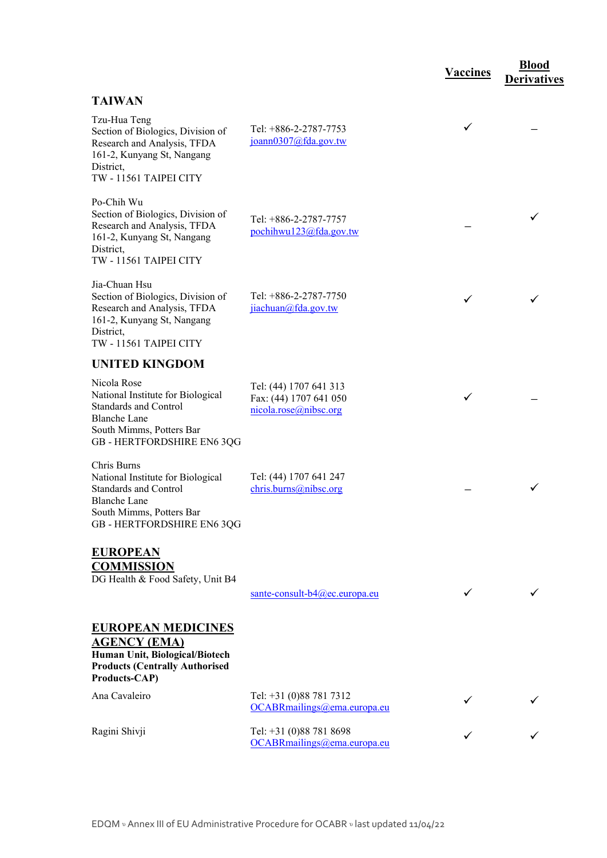|                                                                                                                                                                   |                                                                           | <b>Vaccines</b> | <b>Blood</b><br><b>Derivatives</b> |
|-------------------------------------------------------------------------------------------------------------------------------------------------------------------|---------------------------------------------------------------------------|-----------------|------------------------------------|
| <b>TAIWAN</b>                                                                                                                                                     |                                                                           |                 |                                    |
| Tzu-Hua Teng<br>Section of Biologics, Division of<br>Research and Analysis, TFDA<br>161-2, Kunyang St, Nangang<br>District,<br>TW - 11561 TAIPEI CITY             | Tel: +886-2-2787-7753<br>joann0307@fda.gov.tw                             | ✓               |                                    |
| Po-Chih Wu<br>Section of Biologics, Division of<br>Research and Analysis, TFDA<br>161-2, Kunyang St, Nangang<br>District,<br>TW - 11561 TAIPEI CITY               | Tel: +886-2-2787-7757<br>pochihwu123@fda.gov.tw                           |                 |                                    |
| Jia-Chuan Hsu<br>Section of Biologics, Division of<br>Research and Analysis, TFDA<br>161-2, Kunyang St, Nangang<br>District,<br>TW - 11561 TAIPEI CITY            | Tel: +886-2-2787-7750<br>jiachuan@fda.gov.tw                              |                 |                                    |
| <b>UNITED KINGDOM</b>                                                                                                                                             |                                                                           |                 |                                    |
| Nicola Rose<br>National Institute for Biological<br><b>Standards and Control</b><br><b>Blanche Lane</b><br>South Mimms, Potters Bar<br>GB - HERTFORDSHIRE EN6 3QG | Tel: (44) 1707 641 313<br>Fax: (44) 1707 641 050<br>nicola.rose@nibsc.org |                 |                                    |
| Chris Burns<br>National Institute for Biological<br><b>Standards and Control</b><br><b>Blanche Lane</b><br>South Mimms, Potters Bar<br>GB - HERTFORDSHIRE EN6 3QG | Tel: (44) 1707 641 247<br>chris.burns@nibsc.org                           |                 | ✓                                  |
| <b>EUROPEAN</b><br><b>COMMISSION</b><br>DG Health & Food Safety, Unit B4                                                                                          | sante-consult- $b4$ ( $a$ ) ec. europa. eu                                |                 |                                    |
| <b>EUROPEAN MEDICINES</b><br><b>AGENCY (EMA)</b><br>Human Unit, Biological/Biotech<br><b>Products (Centrally Authorised</b><br>Products-CAP)                      |                                                                           |                 |                                    |
| Ana Cavaleiro                                                                                                                                                     | Tel: +31 (0)88 781 7312<br>OCABRmailings@ema.europa.eu                    |                 |                                    |
| Ragini Shivji                                                                                                                                                     | Tel: +31 (0)88 781 8698<br>OCABRmailings@ema.europa.eu                    |                 |                                    |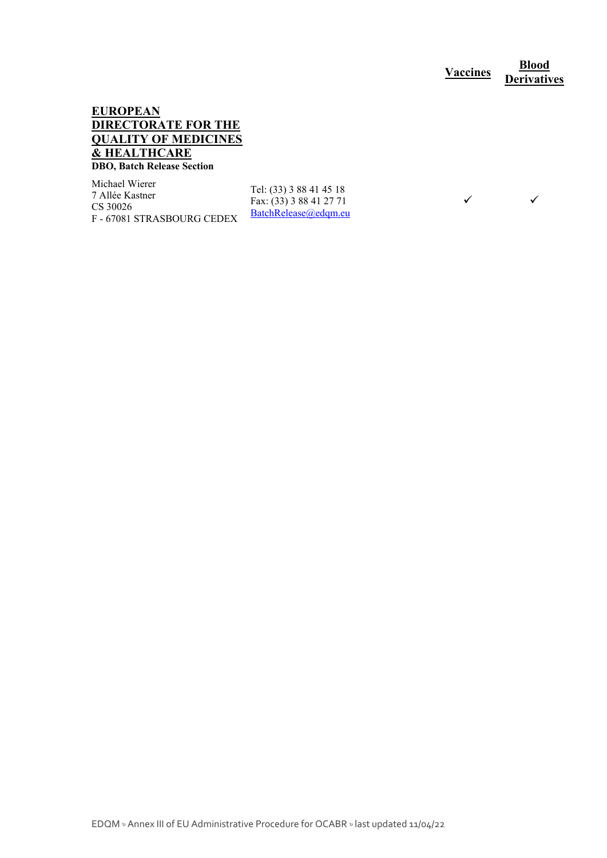**Vaccines <u><b>Blood**</u> **Derivatives** 

 $\checkmark$   $\checkmark$ 

#### **EUROPEAN DIRECTORATE FOR THE QUALITY OF MEDICINES & HEALTHCARE DBO, Batch Release Section**

Michael Wierer 7 Allée Kastner CS 30026 F - 67081 STRASBOURG CEDEX

Tel: (33) 3 88 41 45 18 Fax: (33) 3 88 41 27 71 BatchRelease@edqm.eu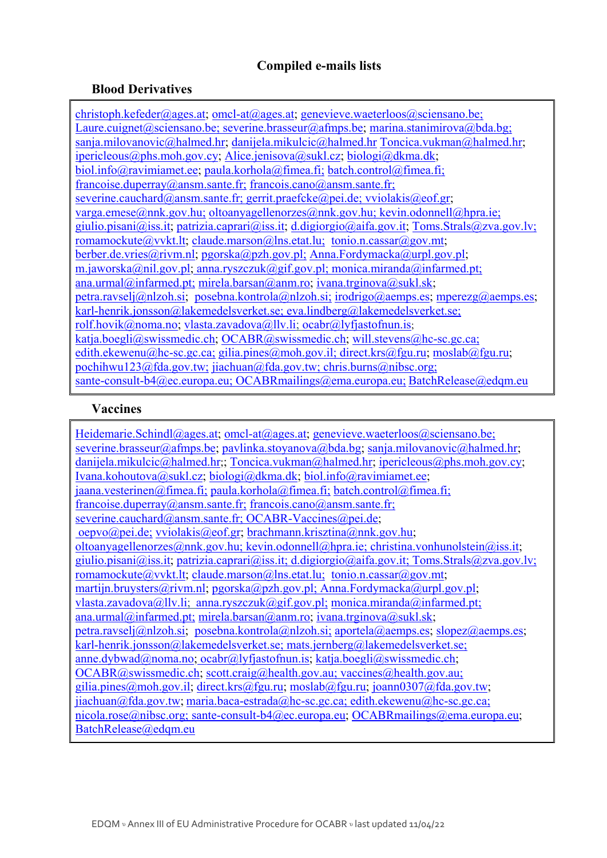## **Compiled e-mails lists**

## **Blood Derivatives**

christoph.kefeder@ages.at; omcl-at@ages.at; genevieve.waeterloos@sciensano.be; Laure.cuignet@sciensano.be; severine.brasseur@afmps.be; marina.stanimirova@bda.bg; sanja.milovanovic@halmed.hr; danijela.mikulcic@halmed.hr Toncica.vukman@halmed.hr; ipericleous@phs.moh.gov.cy; Alice.jenisova@sukl.cz; biologi@dkma.dk; biol.info@ravimiamet.ee; paula.korhola@fimea.fi; batch.control@fimea.fi; francoise.duperray@ansm.sante.fr; francois.cano@ansm.sante.fr; severine.cauchard@ansm.sante.fr; gerrit.praefcke@pei.de; vviolakis@eof.gr; varga.emese@nnk.gov.hu; oltoanyagellenorzes@nnk.gov.hu; kevin.odonnell@hpra.ie; giulio.pisani@iss.it; patrizia.caprari@iss.it; d.digiorgio@aifa.gov.it; Toms.Strals@zva.gov.lv; romamockute@vvkt.lt; claude.marson@lns.etat.lu; tonio.n.cassar@gov.mt; berber.de.vries@rivm.nl; pgorska@pzh.gov.pl; Anna.Fordymacka@urpl.gov.pl; m.jaworska@nil.gov.pl; anna.ryszczuk@gif.gov.pl; monica.miranda@infarmed.pt; ana.urmal@infarmed.pt; mirela.barsan@anm.ro; ivana.trginova@sukl.sk; petra.ravselj@nlzoh.si; posebna.kontrola@nlzoh.si; irodrigo@aemps.es; mperezg@aemps.es; karl-henrik.jonsson@lakemedelsverket.se; eva.lindberg@lakemedelsverket.se; rolf.hovik@noma.no; vlasta.zavadova@llv.li; ocabr@lyfjastofnun.is; katja.boegli@swissmedic.ch; OCABR@swissmedic.ch; will.stevens@hc-sc.gc.ca; edith.ekewenu@hc-sc.gc.ca; gilia.pines@moh.gov.il; direct.krs@fgu.ru; moslab@fgu.ru; pochihwu123@fda.gov.tw; jiachuan@fda.gov.tw; chris.burns@nibsc.org; sante-consult-b4@ec.europa.eu; OCABRmailings@ema.europa.eu; BatchRelease@edqm.eu

## **Vaccines**

Heidemarie.Schindl@ages.at; omcl-at@ages.at; genevieve.waeterloos@sciensano.be; severine.brasseur@afmps.be; pavlinka.stoyanova@bda.bg; sanja.milovanovic@halmed.hr; danijela.mikulcic@halmed.hr;; Toncica.vukman@halmed.hr; ipericleous@phs.moh.gov.cy; Ivana.kohoutova@sukl.cz; biologi@dkma.dk; biol.info@ravimiamet.ee;  $jaana. vectorinen@fimea.fi; paula.korhola@fimea.fi; batch.control@fimea.fi;$ francoise.duperray@ansm.sante.fr; francois.cano@ansm.sante.fr; severine.cauchard@ansm.sante.fr; OCABR-Vaccines@pei.de; oepvo@pei.de; vviolakis@eof.gr; brachmann.krisztina@nnk.gov.hu; oltoanyagellenorzes@nnk.gov.hu; kevin.odonnell@hpra.ie; christina.vonhunolstein@iss.it; giulio.pisani@iss.it; patrizia.caprari@iss.it; d.digiorgio@aifa.gov.it; Toms.Strals@zva.gov.lv; romamockute@vvkt.lt; claude.marson@lns.etat.lu; tonio.n.cassar@gov.mt; martijn.bruysters@rivm.nl; pgorska@pzh.gov.pl; Anna.Fordymacka@urpl.gov.pl; vlasta.zavadova@llv.li; anna.ryszczuk@gif.gov.pl; monica.miranda@infarmed.pt; ana.urmal@infarmed.pt; mirela.barsan@anm.ro; ivana.trginova@sukl.sk; petra.ravselj@nlzoh.si; posebna.kontrola@nlzoh.si; aportela@aemps.es; slopez@aemps.es; karl-henrik.jonsson@lakemedelsverket.se; mats.jernberg@lakemedelsverket.se; anne.dybwad@noma.no; ocabr@lyfjastofnun.is; katja.boegli@swissmedic.ch; OCABR@swissmedic.ch; scott.craig@health.gov.au; vaccines@health.gov.au; gilia.pines@moh.gov.il; direct.krs@fgu.ru; moslab@fgu.ru; joann0307@fda.gov.tw; jiachuan@fda.gov.tw; maria.baca-estrada@hc-sc.gc.ca; edith.ekewenu@hc-sc.gc.ca; nicola.rose@nibsc.org; sante-consult-b4@ec.europa.eu; OCABRmailings@ema.europa.eu; BatchRelease@edqm.eu